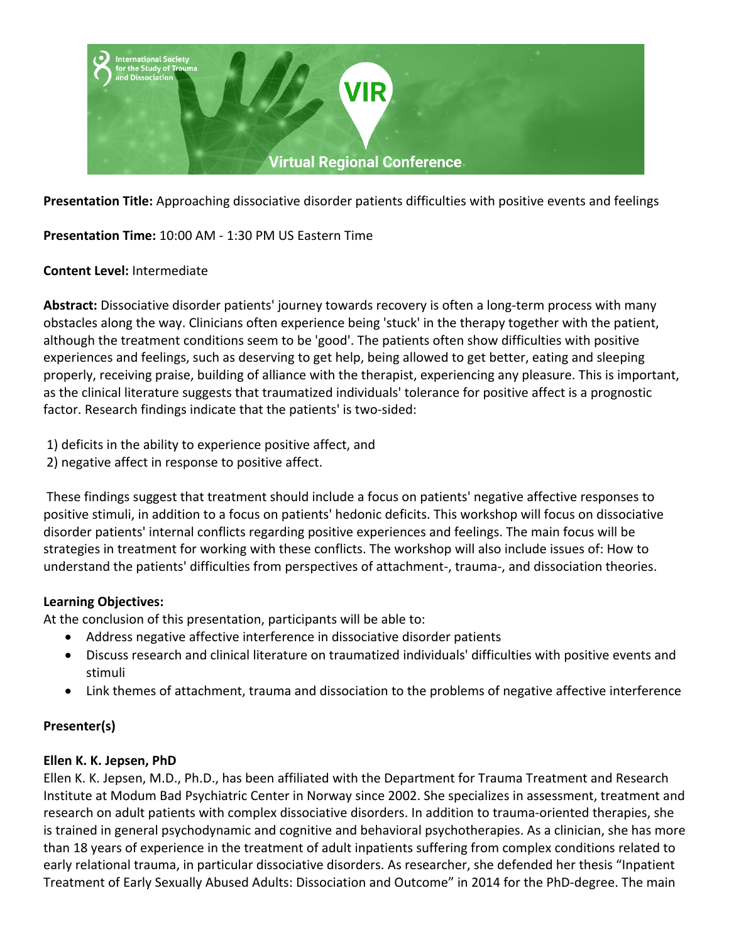

**Presentation Title:** Approaching dissociative disorder patients difficulties with positive events and feelings

**Presentation Time:** 10:00 AM - 1:30 PM US Eastern Time

#### **Content Level:** Intermediate

**Abstract:** Dissociative disorder patients' journey towards recovery is often a long-term process with many obstacles along the way. Clinicians often experience being 'stuck' in the therapy together with the patient, although the treatment conditions seem to be 'good'. The patients often show difficulties with positive experiences and feelings, such as deserving to get help, being allowed to get better, eating and sleeping properly, receiving praise, building of alliance with the therapist, experiencing any pleasure. This is important, as the clinical literature suggests that traumatized individuals' tolerance for positive affect is a prognostic factor. Research findings indicate that the patients' is two-sided:

1) deficits in the ability to experience positive affect, and

2) negative affect in response to positive affect.

These findings suggest that treatment should include a focus on patients' negative affective responses to positive stimuli, in addition to a focus on patients' hedonic deficits. This workshop will focus on dissociative disorder patients' internal conflicts regarding positive experiences and feelings. The main focus will be strategies in treatment for working with these conflicts. The workshop will also include issues of: How to understand the patients' difficulties from perspectives of attachment-, trauma-, and dissociation theories.

#### **Learning Objectives:**

At the conclusion of this presentation, participants will be able to:

- Address negative affective interference in dissociative disorder patients
- Discuss research and clinical literature on traumatized individuals' difficulties with positive events and stimuli
- Link themes of attachment, trauma and dissociation to the problems of negative affective interference

## **Presenter(s)**

## **Ellen K. K. Jepsen, PhD**

Ellen K. K. Jepsen, M.D., Ph.D., has been affiliated with the Department for Trauma Treatment and Research Institute at Modum Bad Psychiatric Center in Norway since 2002. She specializes in assessment, treatment and research on adult patients with complex dissociative disorders. In addition to trauma-oriented therapies, she is trained in general psychodynamic and cognitive and behavioral psychotherapies. As a clinician, she has more than 18 years of experience in the treatment of adult inpatients suffering from complex conditions related to early relational trauma, in particular dissociative disorders. As researcher, she defended her thesis "Inpatient Treatment of Early Sexually Abused Adults: Dissociation and Outcome" in 2014 for the PhD-degree. The main